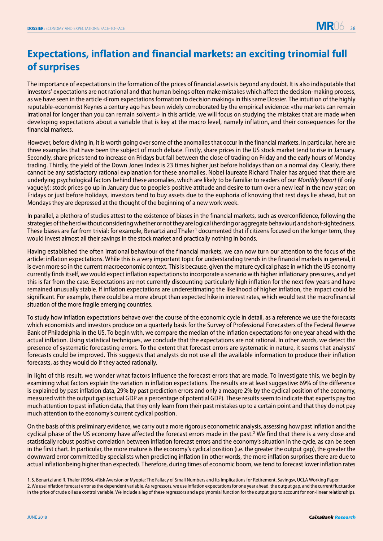## **Expectations, inflation and financial markets: an exciting trinomial full of surprises**

The importance of expectations in the formation of the prices of financial assets is beyond any doubt. It is also indisputable that investors' expectations are not rational and that human beings often make mistakes which affect the decision-making process, as we have seen in the article «From expectations formation to decision making» in this same Dossier. The intuition of the highly reputable-economist Keynes a century ago has been widely corroborated by the empirical evidence: «the markets can remain irrational for longer than you can remain solvent.» In this article, we will focus on studying the mistakes that are made when developing expectations about a variable that is key at the macro level, namely inflation, and their consequences for the financial markets.

However, before diving in, it is worth going over some of the anomalies that occur in the financial markets. In particular, here are three examples that have been the subject of much debate. Firstly, share prices in the US stock market tend to rise in January. Secondly, share prices tend to increase on Fridays but fall between the close of trading on Friday and the early hours of Monday trading. Thirdly, the yield of the Down Jones Index is 23 times higher just before holidays than on a normal day. Clearly, there cannot be any satisfactory rational explanation for these anomalies. Nobel laureate Richard Thaler has argued that there are underlying psychological factors behind these anomalies, which are likely to be familiar to readers of our *Monthly Report* (if only vaguely): stock prices go up in January due to people's positive attitude and desire to turn over a new leaf in the new year; on Fridays or just before holidays, investors tend to buy assets due to the euphoria of knowing that rest days lie ahead, but on Mondays they are depressed at the thought of the beginning of a new work week.

In parallel, a plethora of studies attest to the existence of biases in the financial markets, such as overconfidence, following the strategies of the herd without considering whether or not they are logical (herding or aggregate behaviour) and short-sightedness. These biases are far from trivial: for example, Benartzi and Thaler <sup>1</sup> documented that if citizens focused on the longer term, they would invest almost all their savings in the stock market and practically nothing in bonds.

Having established the often irrational behaviour of the financial markets, we can now turn our attention to the focus of the article: inflation expectations. While this is a very important topic for understanding trends in the financial markets in general, it is even more so in the current macroeconomic context. This is because, given the mature cyclical phase in which the US economy currently finds itself, we would expect inflation expectations to incorporate a scenario with higher inflationary pressures, and yet this is far from the case. Expectations are not currently discounting particularly high inflation for the next few years and have remained unusually stable. If inflation expectations are underestimating the likelihood of higher inflation, the impact could be significant. For example, there could be a more abrupt than expected hike in interest rates, which would test the macrofinancial situation of the more fragile emerging countries.

To study how inflation expectations behave over the course of the economic cycle in detail, as a reference we use the forecasts which economists and investors produce on a quarterly basis for the Survey of Professional Forecasters of the Federal Reserve Bank of Philadelphia in the US. To begin with, we compare the median of the inflation expectations for one year ahead with the actual inflation. Using statistical techniques, we conclude that the expectations are not rational. In other words, we detect the presence of systematic forecasting errors. To the extent that forecast errors are systematic in nature, it seems that analysts' forecasts could be improved. This suggests that analysts do not use all the available information to produce their inflation forecasts, as they would do if they acted rationally.

In light of this result, we wonder what factors influence the forecast errors that are made. To investigate this, we begin by examining what factors explain the variation in inflation expectations. The results are at least suggestive: 69% of the difference is explained by past inflation data, 29% by past prediction errors and only a meagre 2% by the cyclical position of the economy, measured with the output gap (actual GDP as a percentage of potential GDP). These results seem to indicate that experts pay too much attention to past inflation data, that they only learn from their past mistakes up to a certain point and that they do not pay much attention to the economy's current cyclical position.

On the basis of this preliminary evidence, we carry out a more rigorous econometric analysis, assessing how past inflation and the cyclical phase of the US economy have affected the forecast errors made in the past.<sup>2</sup> We find that there is a very close and statistically robust positive correlation between inflation forecast errors and the economy's situation in the cycle, as can be seen in the first chart. In particular, the more mature is the economy's cyclical position (i.e. the greater the output gap), the greater the downward error committed by specialists when predicting inflation (in other words, the more inflation surprises there are due to actual inflationbeing higher than expected). Therefore, during times of economic boom, we tend to forecast lower inflation rates

<sup>1.</sup> S. Benartzi and R. Thaler (1996), «Risk Aversion or Myopia: The Fallacy of Small Numbers and Its Implications for Retirement. Savings», UCLA Working Paper. 2. We use inflation forecast error as the dependent variable. As regressors, we use inflation expectations for one year ahead, the output gap, and the current fluctuation in the price of crude oil as a control variable. We include a lag of these regressors and a polynomial function for the output gap to account for non-linear relationships.